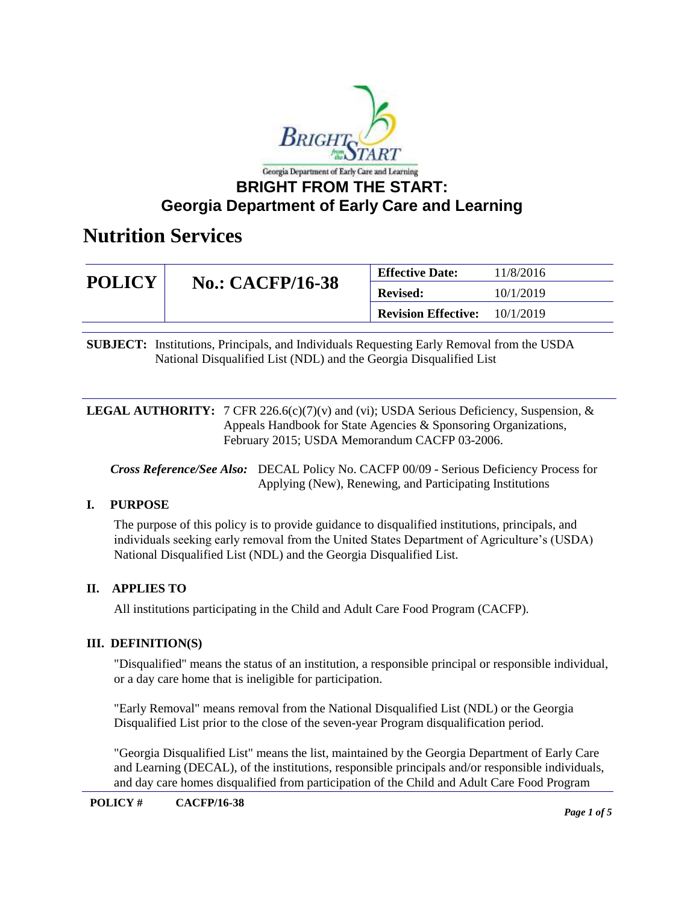

| <b>POLICY</b> | <b>No.: CACFP/16-38</b> | <b>Effective Date:</b>     | 11/8/2016 |
|---------------|-------------------------|----------------------------|-----------|
|               |                         | <b>Revised:</b>            | 10/1/2019 |
|               |                         | <b>Revision Effective:</b> | 10/1/2019 |

**SUBJECT:** Institutions, Principals, and Individuals Requesting Early Removal from the USDA National Disqualified List (NDL) and the Georgia Disqualified List

**LEGAL AUTHORITY:** 7 CFR 226.6(c)(7)(v) and (vi); USDA Serious Deficiency, Suspension, & Appeals Handbook for State Agencies & Sponsoring Organizations, February 2015; USDA Memorandum CACFP 03-2006.

*Cross Reference/See Also:* DECAL Policy No. CACFP 00/09 - Serious Deficiency Process for Applying (New), Renewing, and Participating Institutions

### **I. PURPOSE**

The purpose of this policy is to provide guidance to disqualified institutions, principals, and individuals seeking early removal from the United States Department of Agriculture's (USDA) National Disqualified List (NDL) and the Georgia Disqualified List.

### **II. APPLIES TO**

All institutions participating in the Child and Adult Care Food Program (CACFP).

### **III. DEFINITION(S)**

"Disqualified" means the status of an institution, a responsible principal or responsible individual, or a day care home that is ineligible for participation.

"Early Removal" means removal from the National Disqualified List (NDL) or the Georgia Disqualified List prior to the close of the seven-year Program disqualification period.

"Georgia Disqualified List" means the list, maintained by the Georgia Department of Early Care and Learning (DECAL), of the institutions, responsible principals and/or responsible individuals, and day care homes disqualified from participation of the Child and Adult Care Food Program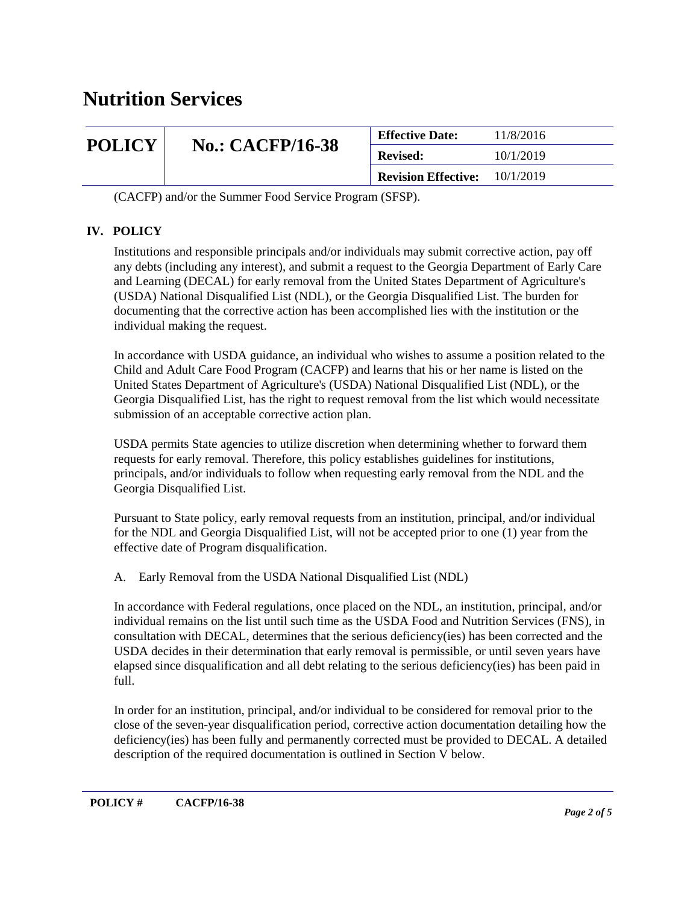| <b>POLICY</b> | <b>No.: CACFP/16-38</b> | <b>Effective Date:</b>     | 11/8/2016 |
|---------------|-------------------------|----------------------------|-----------|
|               |                         | <b>Revised:</b>            | 10/1/2019 |
|               |                         | <b>Revision Effective:</b> | 10/1/2019 |

(CACFP) and/or the Summer Food Service Program (SFSP).

### **IV. POLICY**

Institutions and responsible principals and/or individuals may submit corrective action, pay off any debts (including any interest), and submit a request to the Georgia Department of Early Care and Learning (DECAL) for early removal from the United States Department of Agriculture's (USDA) National Disqualified List (NDL), or the Georgia Disqualified List. The burden for documenting that the corrective action has been accomplished lies with the institution or the individual making the request.

In accordance with USDA guidance, an individual who wishes to assume a position related to the Child and Adult Care Food Program (CACFP) and learns that his or her name is listed on the United States Department of Agriculture's (USDA) National Disqualified List (NDL), or the Georgia Disqualified List, has the right to request removal from the list which would necessitate submission of an acceptable corrective action plan.

USDA permits State agencies to utilize discretion when determining whether to forward them requests for early removal. Therefore, this policy establishes guidelines for institutions, principals, and/or individuals to follow when requesting early removal from the NDL and the Georgia Disqualified List.

Pursuant to State policy, early removal requests from an institution, principal, and/or individual for the NDL and Georgia Disqualified List, will not be accepted prior to one (1) year from the effective date of Program disqualification.

A. Early Removal from the USDA National Disqualified List (NDL)

In accordance with Federal regulations, once placed on the NDL, an institution, principal, and/or individual remains on the list until such time as the USDA Food and Nutrition Services (FNS), in consultation with DECAL, determines that the serious deficiency(ies) has been corrected and the USDA decides in their determination that early removal is permissible, or until seven years have elapsed since disqualification and all debt relating to the serious deficiency(ies) has been paid in full.

In order for an institution, principal, and/or individual to be considered for removal prior to the close of the seven-year disqualification period, corrective action documentation detailing how the deficiency(ies) has been fully and permanently corrected must be provided to DECAL. A detailed description of the required documentation is outlined in Section V below.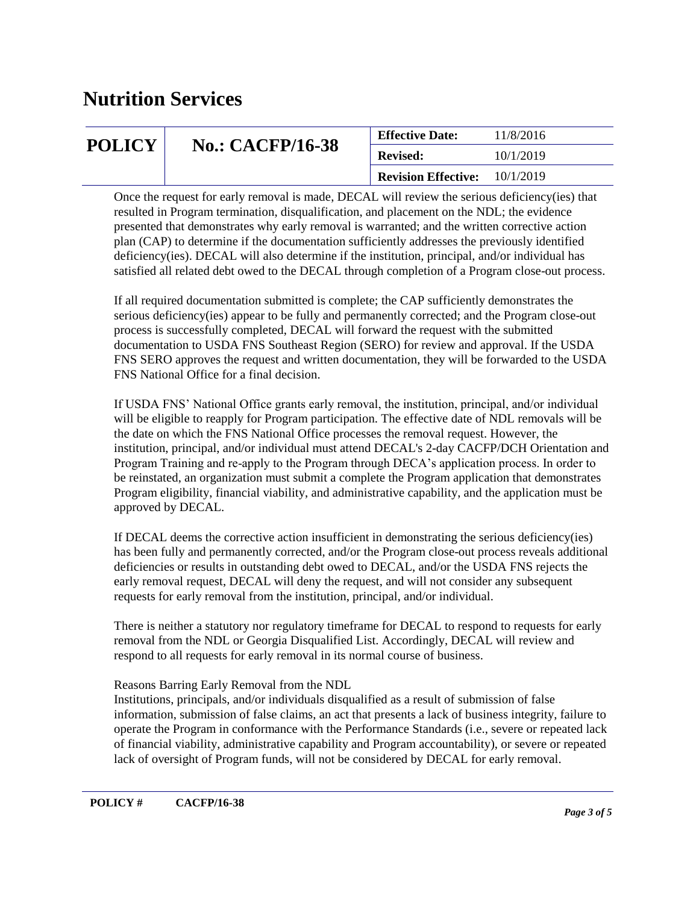| <b>POLICY</b> | <b>No.: CACFP/16-38</b> | <b>Effective Date:</b>     | 11/8/2016 |
|---------------|-------------------------|----------------------------|-----------|
|               |                         | <b>Revised:</b>            | 10/1/2019 |
|               |                         | <b>Revision Effective:</b> | 10/1/2019 |

Once the request for early removal is made, DECAL will review the serious deficiency(ies) that resulted in Program termination, disqualification, and placement on the NDL; the evidence presented that demonstrates why early removal is warranted; and the written corrective action plan (CAP) to determine if the documentation sufficiently addresses the previously identified deficiency(ies). DECAL will also determine if the institution, principal, and/or individual has satisfied all related debt owed to the DECAL through completion of a Program close-out process.

If all required documentation submitted is complete; the CAP sufficiently demonstrates the serious deficiency(ies) appear to be fully and permanently corrected; and the Program close-out process is successfully completed, DECAL will forward the request with the submitted documentation to USDA FNS Southeast Region (SERO) for review and approval. If the USDA FNS SERO approves the request and written documentation, they will be forwarded to the USDA FNS National Office for a final decision.

If USDA FNS' National Office grants early removal, the institution, principal, and/or individual will be eligible to reapply for Program participation. The effective date of NDL removals will be the date on which the FNS National Office processes the removal request. However, the institution, principal, and/or individual must attend DECAL's 2-day CACFP/DCH Orientation and Program Training and re-apply to the Program through DECA's application process. In order to be reinstated, an organization must submit a complete the Program application that demonstrates Program eligibility, financial viability, and administrative capability, and the application must be approved by DECAL.

If DECAL deems the corrective action insufficient in demonstrating the serious deficiency(ies) has been fully and permanently corrected, and/or the Program close-out process reveals additional deficiencies or results in outstanding debt owed to DECAL, and/or the USDA FNS rejects the early removal request, DECAL will deny the request, and will not consider any subsequent requests for early removal from the institution, principal, and/or individual.

There is neither a statutory nor regulatory timeframe for DECAL to respond to requests for early removal from the NDL or Georgia Disqualified List. Accordingly, DECAL will review and respond to all requests for early removal in its normal course of business.

### Reasons Barring Early Removal from the NDL

Institutions, principals, and/or individuals disqualified as a result of submission of false information, submission of false claims, an act that presents a lack of business integrity, failure to operate the Program in conformance with the Performance Standards (i.e., severe or repeated lack of financial viability, administrative capability and Program accountability), or severe or repeated lack of oversight of Program funds, will not be considered by DECAL for early removal.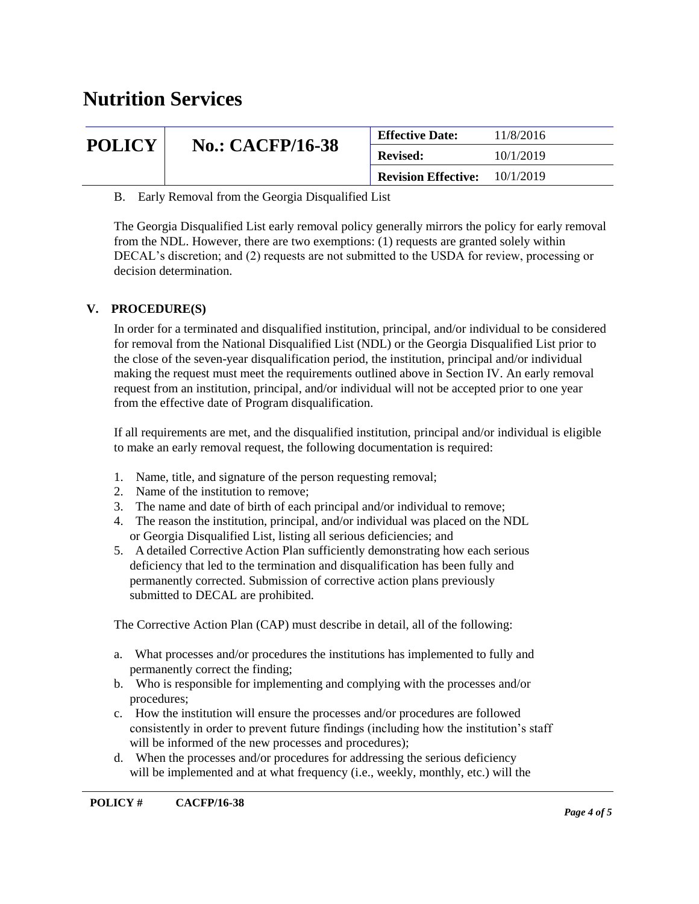| <b>POLICY</b> | <b>No.: CACFP/16-38</b> | <b>Effective Date:</b>     | 11/8/2016 |
|---------------|-------------------------|----------------------------|-----------|
|               |                         | <b>Revised:</b>            | 10/1/2019 |
|               |                         | <b>Revision Effective:</b> | 10/1/2019 |

B. Early Removal from the Georgia Disqualified List

The Georgia Disqualified List early removal policy generally mirrors the policy for early removal from the NDL. However, there are two exemptions: (1) requests are granted solely within DECAL's discretion; and (2) requests are not submitted to the USDA for review, processing or decision determination.

### **V. PROCEDURE(S)**

In order for a terminated and disqualified institution, principal, and/or individual to be considered for removal from the National Disqualified List (NDL) or the Georgia Disqualified List prior to the close of the seven-year disqualification period, the institution, principal and/or individual making the request must meet the requirements outlined above in Section IV. An early removal request from an institution, principal, and/or individual will not be accepted prior to one year from the effective date of Program disqualification.

If all requirements are met, and the disqualified institution, principal and/or individual is eligible to make an early removal request, the following documentation is required:

- 1. Name, title, and signature of the person requesting removal;
- 2. Name of the institution to remove;
- 3. The name and date of birth of each principal and/or individual to remove;
- 4. The reason the institution, principal, and/or individual was placed on the NDL or Georgia Disqualified List, listing all serious deficiencies; and
- 5. A detailed Corrective Action Plan sufficiently demonstrating how each serious deficiency that led to the termination and disqualification has been fully and permanently corrected. Submission of corrective action plans previously submitted to DECAL are prohibited.

The Corrective Action Plan (CAP) must describe in detail, all of the following:

- a. What processes and/or procedures the institutions has implemented to fully and permanently correct the finding;
- b. Who is responsible for implementing and complying with the processes and/or procedures;
- c. How the institution will ensure the processes and/or procedures are followed consistently in order to prevent future findings (including how the institution's staff will be informed of the new processes and procedures);
- d. When the processes and/or procedures for addressing the serious deficiency will be implemented and at what frequency (i.e., weekly, monthly, etc.) will the